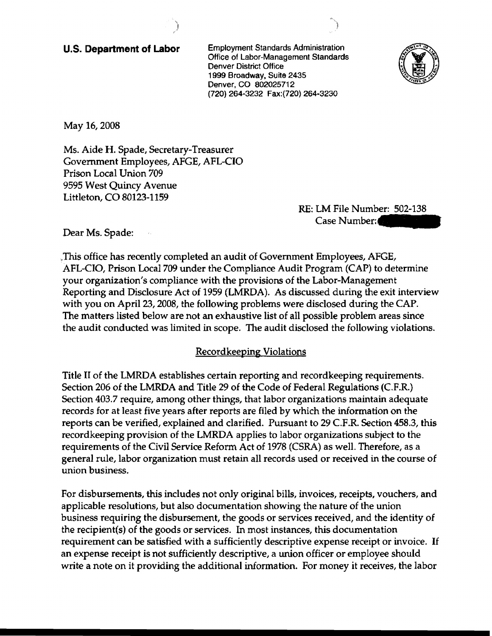U.S. **Department of Labor** Employment Standards Administration Office of Labor-Management Standards Denver District Office 1999 Broadway, Suite 2435 Denver, CO 802025712 (720) 264-3232 Fax:(720) 264-3230



May 16, 2008

Ms. Aide H. Spade, Secretary-Treasurer Government Employees, AFGE, AFL-CIO Prison Local Union 709 9595 West Quincy Avenue Littleton, CO 80123-1159

RE: LM File Number: 502-138 Case Number:

Dear Ms. Spade:

,This office has recently completed an audit of Government Employees, AFGE, AFL-CIO, Prison Local 709 under the Compliance Audit Program (CAP) to determine your organization's compliance with the provisions of the Labor-Management Reporting and Disclosure Act of 1959 (LMRDA). As discussed during the exit interview with you on April 23, 2008, the following problems were disclosed during the CAP. The matters listed below are not an exhaustive list of all possible problem areas since the audit conducted was limited in scope. The audit disclosed the following violations.

# Recordkeeping Violations

Title II of the LMRDA establishes certain reporting and recordkeeping requirements. Section 206 of the LMRDA and Title 29 of the Code of Federal Regulations (C.F.R.) Section 403.7 require, among other things, that labor organizations maintain adequate records for at least five years after reports are filed by which the information on the reports can be verified, explained and clarified. Pursuant to 29 C.F.R. Section 458.3, this recordkeeping provision of the LMRDA applies to labor organizations subject to the requirements of the Civil Service Reform Act of 1978 (CSRA) as well. Therefore, as a general rule, labor organization must retain all records used or received in the course of union business.

For disbursements, this includes not only original bills, invoices, receipts, vouchers, and applicable resolutions, but also documentation showing the nature of the union business requiring the disbursement, the goods or services received, and the identity of the recipient(s) of the goods or services. In most instances, this documentation requirement can be satisfied with a sufficiently descriptive expense receipt or invoice. If an expense receipt is not sufficiently descriptive, a union officer or employee should write a note on it providing the additional information. For money it receives, the labor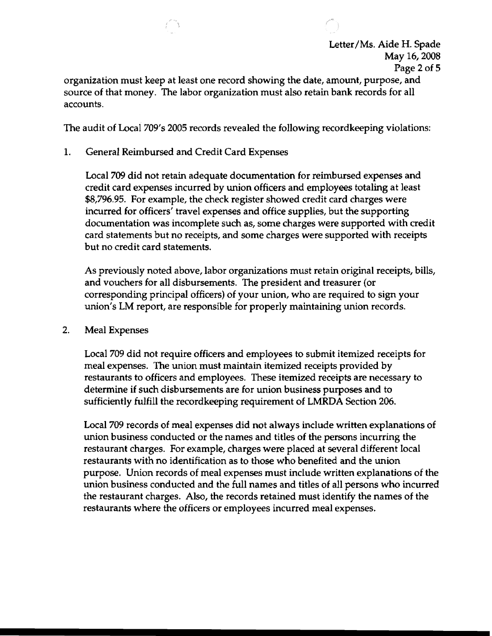

organization must keep at least one record showing the date, amount, purpose, and source of that money. The labor organization must also retain bank records for all accounts.

The audit of Loca1709's 2005 records revealed the following recordkeeping violations:

1. General Reimbursed and Credit Card Expenses

Local 709 did not retain adequate documentation for reimbursed expenses and credit card expenses incurred by union officers and employees totaling at least \$8,796.95. For example, the check register showed credit card charges were incurred for officers' travel expenses and office supplies, but the supporting documentation was incomplete such as, some charges were supported with credit card statements but no receipts, and some charges were supported with receipts but no credit card statements.

As previously noted above, labor organizations must retain original receipts, bills, and vouchers for all disbursements. The president and treasurer (or corresponding principal officers) of your union, who are required to sign your union's LM report, are responsible for properly maintaining union records.

2. Meal Expenses

Local 709 did not require officers and employees to submit itemized receipts for meal expenses. The union must maintain itemized receipts provided by restaurants to officers and employees. These itemized receipts are necessary to determine if such disbursements are for union business purposes and to sufficiently fulfill the recordkeeping requirement of LMRDA Section 206.

Local 709 records of meal expenses did not always include written explanations of union business conducted or the names and titles of the persons incurring the restaurant charges. For example, charges were placed at several different local restaurants with no identification as to those who benefited and the union purpose. Union records of meal expenses must include written explanations of the union business conducted and the full names and titles of all persons who incurred the restaurant charges. Also, the records retained must identify the names of the restaurants where the officers or employees incurred meal expenses.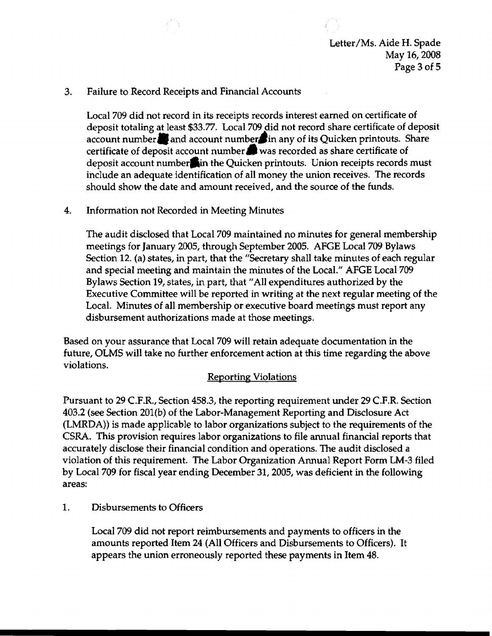# 3. Failure to Record Receipts and Financial Accounts

Local 709 did not record in its receipts records interest earned on certificate of deposit totaling at least \$33.77. Local 709 did not record share certificate of deposit account number. and account numbers in any of its Quicken printouts. Share certificate of deposit account number. was recorded as share certificate of deposit account number in the Quicken printouts. Union receipts records must include an adequate identification of all money the union receives. The records should show the date and amount received, and the source of the funds.

## 4. Information not Recorded in Meeting Minutes

The audit disclosed that Local 709 maintained no minutes for general membership meetings for January 2005, through September 2005. AFGE Local 709 Bylaws Section 12. (a) states, in part, that the "Secretary shall take minutes of each regular and special meeting and maintain the minutes of the Local." AFGE Local 709 Bylaws Section 19, states, in part, that "All expenditures authorized by the Executive Committee will be reported in writing at the next regular meeting of the Local. Minutes of all membership or executive board meetings must report any disbursement authorizations made at those meetings.

Based on your assurance that Local 709 will retain adequate documentation in the future, OLMS will take no further enforcement action at this time regarding the above violations.

# Reporting Violations

Pursuant to 29 C.P.R., Section 458.3, the reporting requirement under 29 C.F.R. Section 403.2 (see Section 201(b) of the Labor-Management Reporting and Disclosure Act (LMRDA)) is made applicable to labor organizations subject to the requirements of the CSRA. This provision requires labor organizations to file annual financial reports that accurately disclose their financial condition and operations. The audit disclosed a violation of this requirement. The Labor Organization Annual Report Form LM-3 filed by Local 709 for fiscal year ending December 31, 2005, was deficient in the following areas:

### 1. Disbursements to Officers

Local 709 did not report reimbursements and payments to officers in the amounts reported Item 24 (All Officers and Disbursements to Officers). It appears the union erroneously reported these payments in Item 48.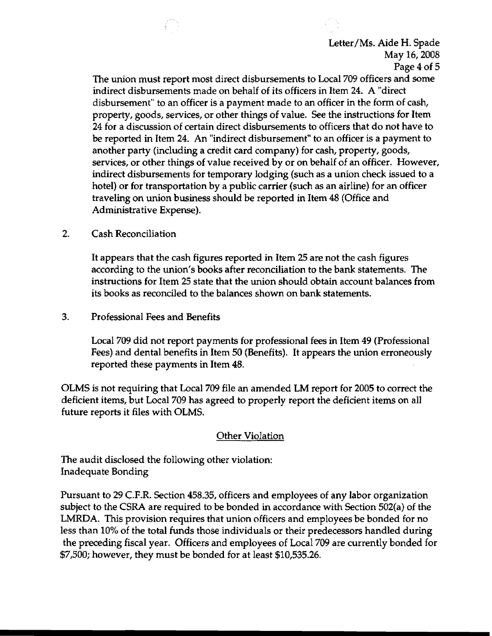

The union must report most direct disbursements to Local 709 officers and some indirect disbursements made on behalf of its officers in Item 24. A "direct disbursement" to an officer is a payment made to an officer in the form of cash, property, goods, services, or other things of value. See the instructions for Item 24 for a discussion of certain direct disbursements to officers that do not have to be reported in Item 24. An "indirect disbursement" to an officer is a payment to another party (including a credit card company) for cash, property, goods, services, or other things of value received by or on behalf of an officer. However, indirect disbursements for temporary lodging (such as a union check issued to a hotel) or for transportation by a public carrier (such as an airline) for an officer traveling on union business should be reported in Item 48 (Office and Administrative Expense).

2. Cash Reconciliation

It appears that the cash figures reported in Item 25 are not the cash figures according to the union's books after reconciliation to the bank statements. The instructions for Item 25 state that the union should obtain account balances from its books as reconciled to the balances shown on bank statements.

3. Professional Fees and Benefits

Local 709 did not report payments for professional fees in Item 49 (Professional Fees) and dental benefits in Item 50 (Benefits). It appears the union erroneously reported these payments in Item 48.

OLMS is not reqUiring that Local 709 file an amended LM report for 2005 to correct the deficient items, but Local 709 has agreed to properly report the deficient items on all future reports it files with OLMS.

# Other Violation

The audit disclosed the following other violation: Inadequate Bonding

Pursuant to 29 C.F.R. Section 458.35, officers and employees of any labor organization subject to the CSRA are required to be bonded in accordance with Section 502(a) of the LMRDA. This provision requires that union officers and employees be bonded for no less than 10% of the total funds those individuals or their predecessors handled during the preceding fiscal year. Officers and employees of Local 709 are currently bonded for \$7,500; however, they must be bonded for at least \$10,535.26.